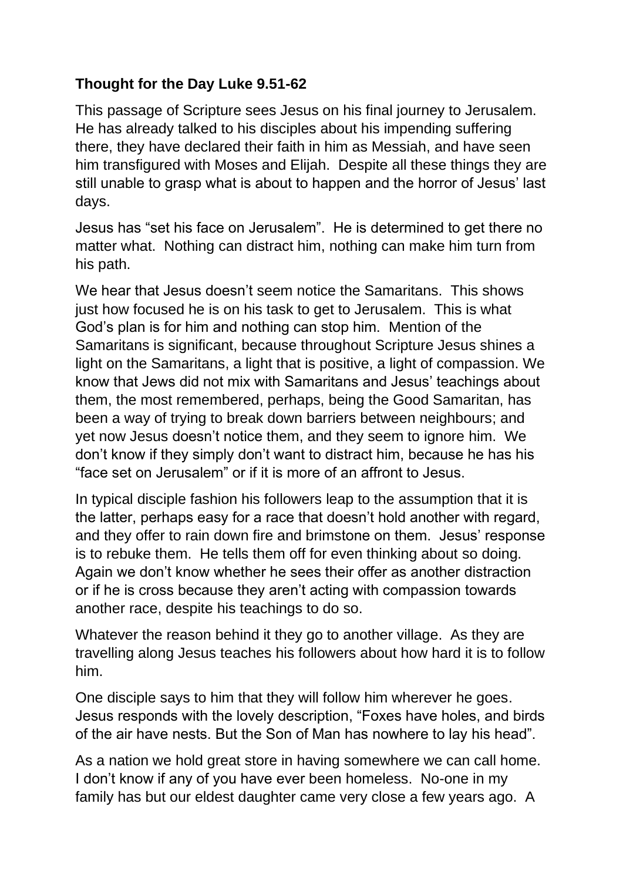## **Thought for the Day Luke 9.51-62**

This passage of Scripture sees Jesus on his final journey to Jerusalem. He has already talked to his disciples about his impending suffering there, they have declared their faith in him as Messiah, and have seen him transfigured with Moses and Elijah. Despite all these things they are still unable to grasp what is about to happen and the horror of Jesus' last days.

Jesus has "set his face on Jerusalem". He is determined to get there no matter what. Nothing can distract him, nothing can make him turn from his path.

We hear that Jesus doesn't seem notice the Samaritans. This shows just how focused he is on his task to get to Jerusalem. This is what God's plan is for him and nothing can stop him. Mention of the Samaritans is significant, because throughout Scripture Jesus shines a light on the Samaritans, a light that is positive, a light of compassion. We know that Jews did not mix with Samaritans and Jesus' teachings about them, the most remembered, perhaps, being the Good Samaritan, has been a way of trying to break down barriers between neighbours; and yet now Jesus doesn't notice them, and they seem to ignore him. We don't know if they simply don't want to distract him, because he has his "face set on Jerusalem" or if it is more of an affront to Jesus.

In typical disciple fashion his followers leap to the assumption that it is the latter, perhaps easy for a race that doesn't hold another with regard, and they offer to rain down fire and brimstone on them. Jesus' response is to rebuke them. He tells them off for even thinking about so doing. Again we don't know whether he sees their offer as another distraction or if he is cross because they aren't acting with compassion towards another race, despite his teachings to do so.

Whatever the reason behind it they go to another village. As they are travelling along Jesus teaches his followers about how hard it is to follow him.

One disciple says to him that they will follow him wherever he goes. Jesus responds with the lovely description, "Foxes have holes, and birds of the air have nests. But the Son of Man has nowhere to lay his head".

As a nation we hold great store in having somewhere we can call home. I don't know if any of you have ever been homeless. No-one in my family has but our eldest daughter came very close a few years ago. A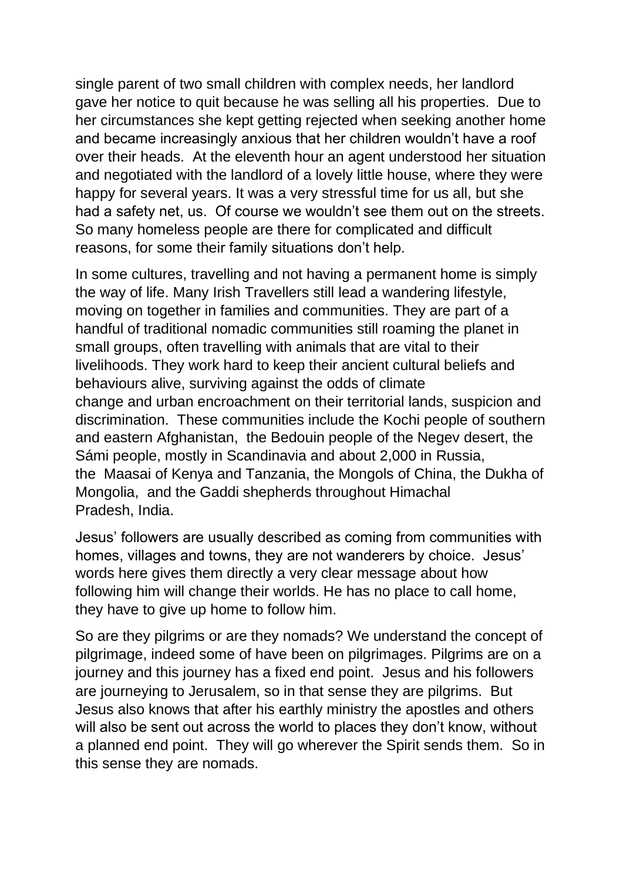single parent of two small children with complex needs, her landlord gave her notice to quit because he was selling all his properties. Due to her circumstances she kept getting rejected when seeking another home and became increasingly anxious that her children wouldn't have a roof over their heads. At the eleventh hour an agent understood her situation and negotiated with the landlord of a lovely little house, where they were happy for several years. It was a very stressful time for us all, but she had a safety net, us. Of course we wouldn't see them out on the streets. So many homeless people are there for complicated and difficult reasons, for some their family situations don't help.

In some cultures, travelling and not having a permanent home is simply the way of life. Many Irish Travellers still lead a wandering lifestyle, moving on together in families and communities. They are part of a handful of traditional nomadic communities still roaming the planet in small groups, often travelling with animals that are vital to their livelihoods. They work hard to keep their ancient cultural beliefs and behaviours alive, surviving against the odds of [climate](https://matadornetwork.com/life/climate-change-transformed-mongolia/)  [change](https://matadornetwork.com/life/climate-change-transformed-mongolia/) and [urban encroachment](https://matadornetwork.com/life/african-wildlife-suffer-urban-development/) on their territorial lands, suspicion and discrimination. These communities include the Kochi people of southern and eastern [Afghanistan,](https://matadornetwork.com/destinations/asia/afghanistan/) the Bedouin people of the Negev desert, the Sámi people, mostly in Scandinavia and about 2,000 in [Russia,](https://matadornetwork.com/destinations/europe/russia/) the [Maasai](https://matadornetwork.com/watch/matador-originals-jacobs-journey-maasai-warriors-journey-home/) of [Kenya](https://matadornetwork.com/destinations/africa/kenya/) and [Tanzania,](https://matadornetwork.com/destinations/africa/tanzania/) the Mongols of China, the Dukha of Mongolia, and the Gaddi shepherds throughout Himachal Pradesh, [Ind](https://matadornetwork.com/destinations/asia/india/)ia.

Jesus' followers are usually described as coming from communities with homes, villages and towns, they are not wanderers by choice. Jesus' words here gives them directly a very clear message about how following him will change their worlds. He has no place to call home, they have to give up home to follow him.

So are they pilgrims or are they nomads? We understand the concept of pilgrimage, indeed some of have been on pilgrimages. Pilgrims are on a journey and this journey has a fixed end point. Jesus and his followers are journeying to Jerusalem, so in that sense they are pilgrims. But Jesus also knows that after his earthly ministry the apostles and others will also be sent out across the world to places they don't know, without a planned end point. They will go wherever the Spirit sends them. So in this sense they are nomads.